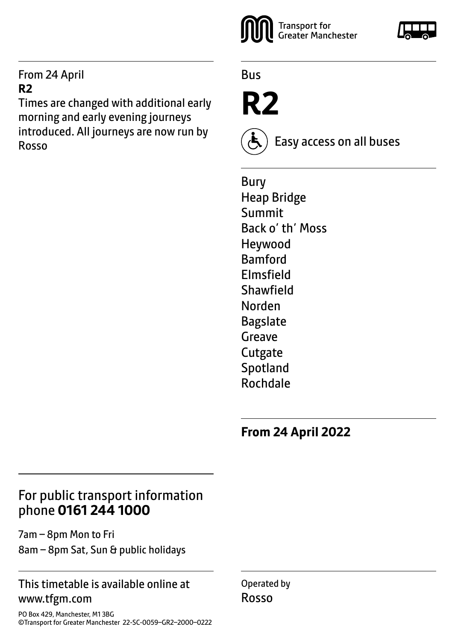#### From 24 April **R2**

Times are changed with additional early morning and early evening journeys introduced. All journeys are now run by Rosso



Bus

**R2**

Easy access on all buses

Bury Heap Bridge Summit Back o' th' Moss Heywood Bamford Elmsfield Shawfield Norden Bagslate Greave **Cutgate** Spotland Rochdale

**From 24 April 2022**

### For public transport information phone **0161 244 1000**

7am – 8pm Mon to Fri 8am – 8pm Sat, Sun & public holidays

#### This timetable is available online at www.tfgm.com

PO Box 429, Manchester, M1 3BG ©Transport for Greater Manchester 22-SC-0059–GR2–2000–0222 Operated by Rosso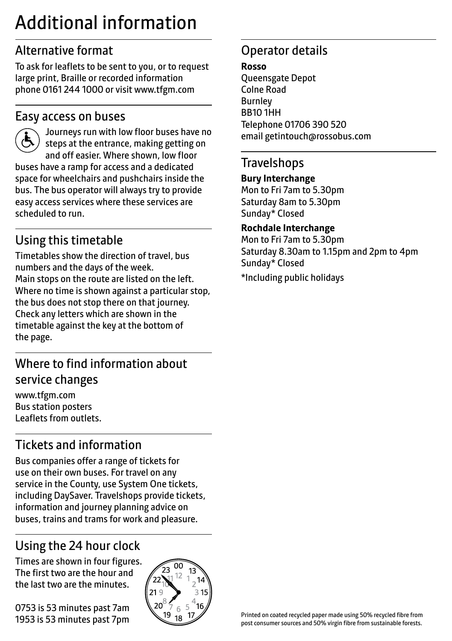# Additional information

# Alternative format

To ask for leaflets to be sent to you, or to request large print, Braille or recorded information phone 0161 244 1000 or visit www.tfgm.com

#### Easy access on buses



 Journeys run with low floor buses have no steps at the entrance, making getting on and off easier. Where shown, low floor buses have a ramp for access and a dedicated space for wheelchairs and pushchairs inside the bus. The bus operator will always try to provide easy access services where these services are scheduled to run.

# Using this timetable

Timetables show the direction of travel, bus numbers and the days of the week. Main stops on the route are listed on the left. Where no time is shown against a particular stop, the bus does not stop there on that journey. Check any letters which are shown in the timetable against the key at the bottom of the page.

# Where to find information about service changes

www.tfgm.com Bus station posters Leaflets from outlets.

# Tickets and information

Bus companies offer a range of tickets for use on their own buses. For travel on any service in the County, use System One tickets, including DaySaver. Travelshops provide tickets, information and journey planning advice on buses, trains and trams for work and pleasure.

# Using the 24 hour clock

Times are shown in four figures. The first two are the hour and the last two are the minutes.

0753 is 53 minutes past 7am 1953 is 53 minutes past 7pm



# Operator details

**Rosso**

Queensgate Depot Colne Road Burnley BB10 1HH Telephone 01706 390 520 email getintouch@rossobus.com

#### **Travelshops**

#### **Bury Interchange**

Mon to Fri 7am to 5.30pm Saturday 8am to 5.30pm Sunday\* Closed

#### **Rochdale Interchange**

Mon to Fri 7am to 5.30pm Saturday 8.30am to 1.15pm and 2pm to 4pm Sunday\* Closed

\*Including public holidays

Printed on coated recycled paper made using 50% recycled fibre from post consumer sources and 50% virgin fibre from sustainable forests.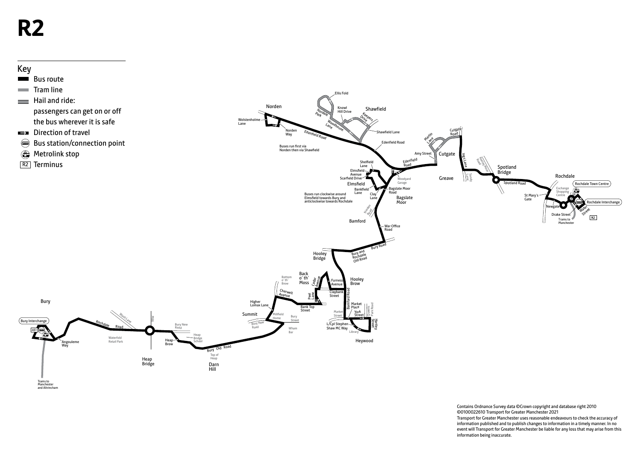# **R2**



Contains Ordnance Survey data ©Crown copyright and database right 2010 ©0100022610 Transport for Greater Manchester 2021 Transport for Greater Manchester uses reasonable endeavours to check the accuracy of information published and to publish changes to information in a timely manner. In no event will Transport for Greater Manchester be liable for any loss that may arise from this information being inaccurate.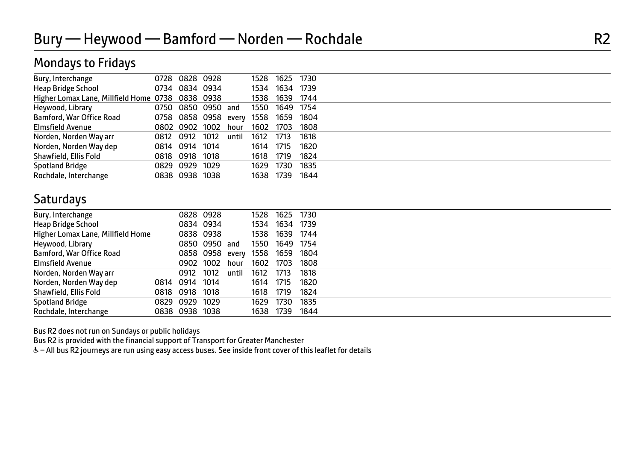#### Mondays to Fridays

| Bury, Interchange                                | 0728 0828 0928                 |       | 1528 | 1625      | 1730 |  |
|--------------------------------------------------|--------------------------------|-------|------|-----------|------|--|
| Heap Bridge School                               | 0734 0834 0934                 |       | 1534 | 1634      | 1739 |  |
| Higher Lomax Lane, Millfield Home 0738 0838 0938 |                                |       | 1538 | 1639      | 1744 |  |
| Heywood, Library                                 | 0750 0850 0950 and             |       | 1550 | 1649      | 1754 |  |
| Bamford, War Office Road                         | 0758 0858 0958 every 1558 1659 |       |      |           | 1804 |  |
| <b>Elmsfield Avenue</b>                          | 0802 0902 1002                 | hour  | 1602 | 1703      | 1808 |  |
| Norden, Norden Way arr                           | 0812 0912 1012                 | until | 1612 | 1713      | 1818 |  |
| Norden, Norden Way dep                           | 0814 0914 1014                 |       | 1614 | 1715      | 1820 |  |
| Shawfield, Ellis Fold                            | 0818 0918 1018                 |       | 1618 | 1719      | 1824 |  |
| <b>Spotland Bridge</b>                           | 0829 0929 1029                 |       | 1629 | 1730      | 1835 |  |
| Rochdale, Interchange                            | 0838 0938 1038                 |       |      | 1638 1739 | 1844 |  |

#### **Saturdays**

| Bury, Interchange                 |                | 0828 0928       |       | 1528 | 1625 | 1730 |  |
|-----------------------------------|----------------|-----------------|-------|------|------|------|--|
| Heap Bridge School                |                | 0834 0934       |       | 1534 | 1634 | 1739 |  |
| Higher Lomax Lane, Millfield Home |                | 0838 0938       |       | 1538 | 1639 | 1744 |  |
| Heywood, Library                  |                | 0850 0950 and   |       | 1550 | 1649 | 1754 |  |
| Bamford, War Office Road          |                | 0858 0958 every |       | 1558 | 1659 | 1804 |  |
| <b>Elmsfield Avenue</b>           |                | 0902 1002       | hour  | 1602 | 1703 | 1808 |  |
| Norden, Norden Way arr            | 0912 1012      |                 | until | 1612 | 1713 | 1818 |  |
| Norden, Norden Way dep            | 0814 0914 1014 |                 |       | 1614 | 1715 | 1820 |  |
| Shawfield, Ellis Fold             | 0818 0918 1018 |                 |       | 1618 | 1719 | 1824 |  |
| Spotland Bridge                   | 0829 0929 1029 |                 |       | 1629 | 1730 | 1835 |  |
| Rochdale, Interchange             | 0838 0938 1038 |                 |       | 1638 | 1739 | 1844 |  |

Bus R2 does not run on Sundays or public holidays

Bus R2 is provided with the financial support of Transport for Greater Manchester

& - All bus R2 journeys are run using easy access buses. See inside front cover of this leaflet for details